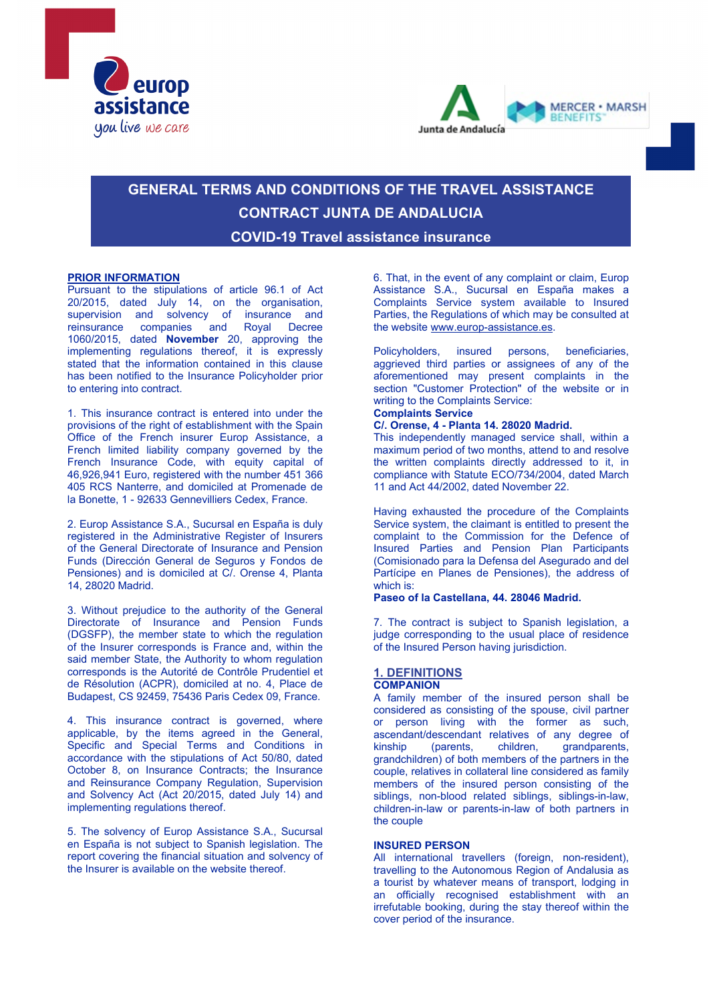



# **GENERAL TERMS AND CONDITIONS OF THE TRAVEL ASSISTANCE CONTRACT JUNTA DE ANDALUCIA COVID-19 Travel assistance insurance**

## **PRIOR INFORMATION**

Pursuant to the stipulations of article 96.1 of Act 20/2015, dated July 14, on the organisation, supervision and solvency of insurance and reinsurance companies and Royal Decree 1060/2015, dated **November** 20, approving the implementing regulations thereof, it is expressly stated that the information contained in this clause has been notified to the Insurance Policyholder prior to entering into contract.

1. This insurance contract is entered into under the provisions of the right of establishment with the Spain Office of the French insurer Europ Assistance, a French limited liability company governed by the French Insurance Code, with equity capital of 46,926,941 Euro, registered with the number 451 366 405 RCS Nanterre, and domiciled at Promenade de la Bonette, 1 - 92633 Gennevilliers Cedex, France.

2. Europ Assistance S.A., Sucursal en España is duly registered in the Administrative Register of Insurers of the General Directorate of Insurance and Pension Funds (Dirección General de Seguros y Fondos de Pensiones) and is domiciled at C/. Orense 4, Planta 14, 28020 Madrid.

3. Without prejudice to the authority of the General Directorate of Insurance and Pension Funds (DGSFP), the member state to which the regulation of the Insurer corresponds is France and, within the said member State, the Authority to whom regulation corresponds is the Autorité de Contrôle Prudentiel et de Résolution (ACPR), domiciled at no. 4, Place de Budapest, CS 92459, 75436 Paris Cedex 09, France.

4. This insurance contract is governed, where applicable, by the items agreed in the General, Specific and Special Terms and Conditions in accordance with the stipulations of Act 50/80, dated October 8, on Insurance Contracts; the Insurance and Reinsurance Company Regulation, Supervision and Solvency Act (Act 20/2015, dated July 14) and implementing regulations thereof.

5. The solvency of Europ Assistance S.A., Sucursal en España is not subject to Spanish legislation. The report covering the financial situation and solvency of the Insurer is available on the website thereof.

6. That, in the event of any complaint or claim, Europ Assistance S.A., Sucursal en España makes a Complaints Service system available to Insured Parties, the Regulations of which may be consulted at the website [www.europ-assistance.es.](http://www.europ-assistance.es/) 

Policyholders, insured persons, beneficiaries, aggrieved third parties or assignees of any of the aforementioned may present complaints in the section "Customer Protection" of the website or in writing to the Complaints Service: **Complaints Service**

# **C/. Orense, 4 - Planta 14. 28020 Madrid.**

This independently managed service shall, within a maximum period of two months, attend to and resolve the written complaints directly addressed to it, in compliance with Statute ECO/734/2004, dated March 11 and Act 44/2002, dated November 22.

Having exhausted the procedure of the Complaints Service system, the claimant is entitled to present the complaint to the Commission for the Defence of Insured Parties and Pension Plan Participants (Comisionado para la Defensa del Asegurado and del Partícipe en Planes de Pensiones), the address of which is:

### **Paseo of la Castellana, 44. 28046 Madrid.**

7. The contract is subject to Spanish legislation, a judge corresponding to the usual place of residence of the Insured Person having jurisdiction.

# **1. DEFINITIONS**

# **COMPANION**

A family member of the insured person shall be considered as consisting of the spouse, civil partner or person living with the former as such, ascendant/descendant relatives of any degree of<br>kinship (parents, children, grandparents, (parents, children, grandparents, grandchildren) of both members of the partners in the couple, relatives in collateral line considered as family members of the insured person consisting of the siblings, non-blood related siblings, siblings-in-law, children-in-law or parents-in-law of both partners in the couple

### **INSURED PERSON**

All international travellers (foreign, non-resident), travelling to the Autonomous Region of Andalusia as a tourist by whatever means of transport, lodging in an officially recognised establishment with an irrefutable booking, during the stay thereof within the cover period of the insurance.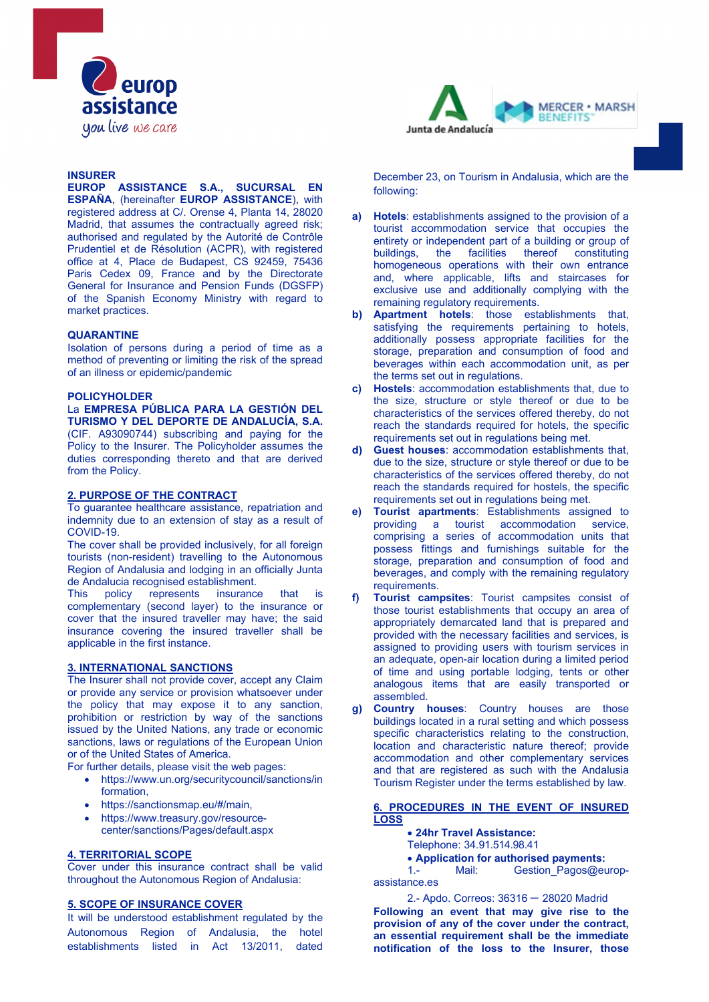

### **INSURER**

**EUROP ASSISTANCE S.A., SUCURSAL EN ESPAÑA**, (hereinafter **EUROP ASSISTANCE**), with registered address at C/. Orense 4, Planta 14, 28020 Madrid, that assumes the contractually agreed risk; authorised and regulated by the Autorité de Contrôle Prudentiel et de Résolution (ACPR), with registered office at 4, Place de Budapest, CS 92459, 75436 Paris Cedex 09, France and by the Directorate General for Insurance and Pension Funds (DGSFP) of the Spanish Economy Ministry with regard to market practices.

### **QUARANTINE**

Isolation of persons during a period of time as a method of preventing or limiting the risk of the spread of an illness or epidemic/pandemic

#### **POLICYHOLDER**

La **EMPRESA PÚBLICA PARA LA GESTIÓN DEL TURISMO Y DEL DEPORTE DE ANDALUCÍA, S.A.**  (CIF. A93090744) subscribing and paying for the Policy to the Insurer. The Policyholder assumes the duties corresponding thereto and that are derived from the Policy.

### **2. PURPOSE OF THE CONTRACT**

To guarantee healthcare assistance, repatriation and indemnity due to an extension of stay as a result of COVID-19.

The cover shall be provided inclusively, for all foreign tourists (non-resident) travelling to the Autonomous Region of Andalusia and lodging in an officially Junta de Andalucia recognised establishment.<br>This policy represents insurance

This policy represents insurance that is complementary (second layer) to the insurance or cover that the insured traveller may have; the said insurance covering the insured traveller shall be applicable in the first instance.

### **3. INTERNATIONAL SANCTIONS**

The Insurer shall not provide cover, accept any Claim or provide any service or provision whatsoever under the policy that may expose it to any sanction, prohibition or restriction by way of the sanctions issued by the United Nations, any trade or economic sanctions, laws or regulations of the European Union or of the United States of America.

For further details, please visit the web pages:

- https://www.un.org/securitycouncil/sanctions/in formation,
- https://sanctionsmap.eu/#/main,
- https://www.treasury.gov/resourcecenter/sanctions/Pages/default.aspx

### **4. TERRITORIAL SCOPE**

Cover under this insurance contract shall be valid throughout the Autonomous Region of Andalusia:

### **5. SCOPE OF INSURANCE COVER**

It will be understood establishment regulated by the Autonomous Region of Andalusia, the hotel establishments listed in Act 13/2011, dated



December 23, on Tourism in Andalusia, which are the following:

- **a) Hotels**: establishments assigned to the provision of a tourist accommodation service that occupies the entirety or independent part of a building or group of buildings, the facilities thereof constituting homogeneous operations with their own entrance and, where applicable, lifts and staircases for exclusive use and additionally complying with the remaining regulatory requirements.
- **b) Apartment hotels**: those establishments that, satisfying the requirements pertaining to hotels, additionally possess appropriate facilities for the storage, preparation and consumption of food and beverages within each accommodation unit, as per the terms set out in regulations.
- **c) Hostels**: accommodation establishments that, due to the size, structure or style thereof or due to be characteristics of the services offered thereby, do not reach the standards required for hotels, the specific requirements set out in regulations being met.
- **Guest houses: accommodation establishments that,** due to the size, structure or style thereof or due to be characteristics of the services offered thereby, do not reach the standards required for hostels, the specific requirements set out in regulations being met.
- **e) Tourist apartments**: Establishments assigned to providing a tourist accommodation service, comprising a series of accommodation units that possess fittings and furnishings suitable for the storage, preparation and consumption of food and beverages, and comply with the remaining regulatory requirements.
- **f) Tourist campsites**: Tourist campsites consist of those tourist establishments that occupy an area of appropriately demarcated land that is prepared and provided with the necessary facilities and services, is assigned to providing users with tourism services in an adequate, open-air location during a limited period of time and using portable lodging, tents or other analogous items that are easily transported or assembled.
- **g) Country houses**: Country houses are those buildings located in a rural setting and which possess specific characteristics relating to the construction, location and characteristic nature thereof; provide accommodation and other complementary services and that are registered as such with the Andalusia Tourism Register under the terms established by law.

### **6. PROCEDURES IN THE EVENT OF INSURED LOSS**

- **24hr Travel Assistance:**
- Telephone: 34.91.514.98.41
- **Application for authorised payments:**

1.- Mail: Gestion Pagos@europassistance.es

2.- Apdo. Correos: 36316 – 28020 Madrid **Following an event that may give rise to the provision of any of the cover under the contract, an essential requirement shall be the immediate notification of the loss to the Insurer, those**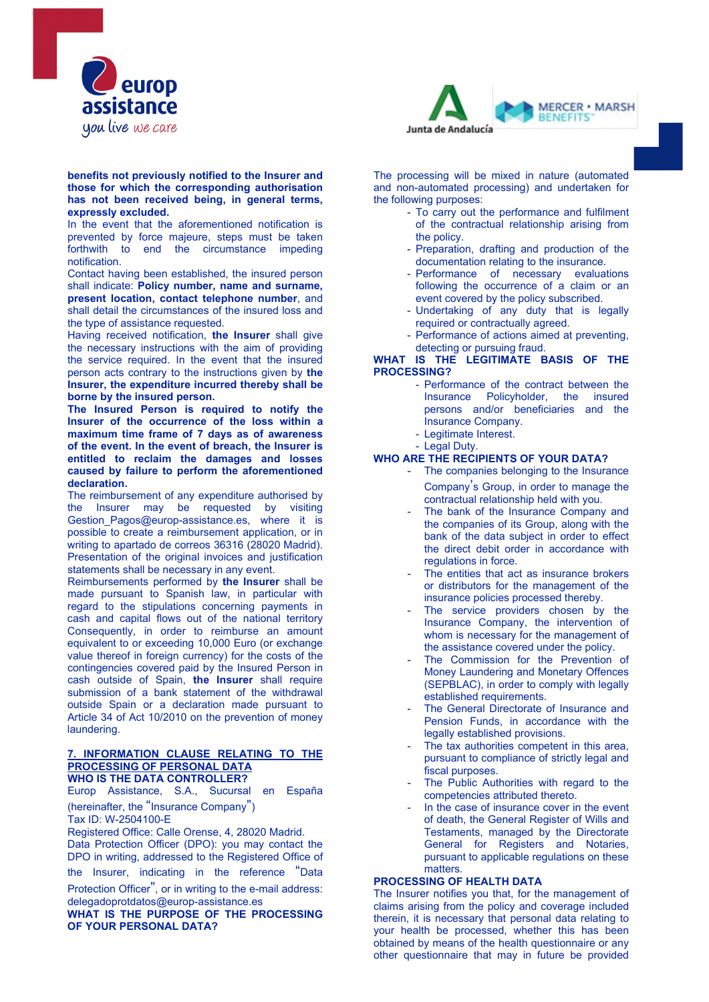

### **benefits not previously notified to the Insurer and those for which the corresponding authorisation has not been received being, in general terms, expressly excluded.**

In the event that the aforementioned notification is prevented by force majeure, steps must be taken forthwith to end the circumstance impeding notification.

Contact having been established, the insured person shall indicate: **Policy number, name and surname, present location, contact telephone number**, and shall detail the circumstances of the insured loss and the type of assistance requested.

Having received notification, **the Insurer** shall give the necessary instructions with the aim of providing the service required. In the event that the insured person acts contrary to the instructions given by **the Insurer, the expenditure incurred thereby shall be borne by the insured person.**

**The Insured Person is required to notify the Insurer of the occurrence of the loss within a maximum time frame of 7 days as of awareness of the event. In the event of breach, the Insurer is entitled to reclaim the damages and losses caused by failure to perform the aforementioned declaration.** 

The reimbursement of any expenditure authorised by the Insurer may be requested by visiting Gestion Pagos@europ-assistance.es, where it is possible to create a reimbursement application, or in writing to apartado de correos 36316 (28020 Madrid). Presentation of the original invoices and justification statements shall be necessary in any event.

Reimbursements performed by **the Insurer** shall be made pursuant to Spanish law, in particular with regard to the stipulations concerning payments in cash and capital flows out of the national territory Consequently, in order to reimburse an amount equivalent to or exceeding 10,000 Euro (or exchange value thereof in foreign currency) for the costs of the contingencies covered paid by the Insured Person in cash outside of Spain, **the Insurer** shall require submission of a bank statement of the withdrawal outside Spain or a declaration made pursuant to Article 34 of Act 10/2010 on the prevention of money laundering.

#### **7. INFORMATION CLAUSE RELATING TO THE PROCESSING OF PERSONAL DATA WHO IS THE DATA CONTROLLER?**

Europ Assistance, S.A., Sucursal en España (hereinafter, the "Insurance Company") Tax ID: W-2504100-E

Registered Office: Calle Orense, 4, 28020 Madrid. Data Protection Officer (DPO): you may contact the DPO in writing, addressed to the Registered Office of the Insurer, indicating in the reference "Data

Protection Officer", or in writing to the e-mail address: delegadoprotdatos@europ-assistance.es

**WHAT IS THE PURPOSE OF THE PROCESSING OF YOUR PERSONAL DATA?** 



The processing will be mixed in nature (automated and non-automated processing) and undertaken for the following purposes:

- To carry out the performance and fulfilment of the contractual relationship arising from the policy.
- Preparation, drafting and production of the documentation relating to the insurance.
- Performance of necessary evaluations following the occurrence of a claim or an event covered by the policy subscribed.
- Undertaking of any duty that is legally required or contractually agreed.
- Performance of actions aimed at preventing, detecting or pursuing fraud.

### **WHAT IS THE LEGITIMATE BASIS OF THE PROCESSING?**

- Performance of the contract between the<br>Insurance Policyholder, the insured Insurance Policyholder, the persons and/or beneficiaries and the Insurance Company.
- Legitimate Interest.
- Legal Duty.

## **WHO ARE THE RECIPIENTS OF YOUR DATA?**

- The companies belonging to the Insurance Company's Group, in order to manage the contractual relationship held with you.
- The bank of the Insurance Company and the companies of its Group, along with the bank of the data subject in order to effect the direct debit order in accordance with regulations in force.
- The entities that act as insurance brokers or distributors for the management of the insurance policies processed thereby.
- The service providers chosen by the Insurance Company, the intervention of whom is necessary for the management of the assistance covered under the policy.
- The Commission for the Prevention of Money Laundering and Monetary Offences (SEPBLAC), in order to comply with legally established requirements.
- The General Directorate of Insurance and Pension Funds, in accordance with the legally established provisions.
- The tax authorities competent in this area, pursuant to compliance of strictly legal and fiscal purposes.
- The Public Authorities with regard to the competencies attributed thereto.
- In the case of insurance cover in the event of death, the General Register of Wills and Testaments, managed by the Directorate General for Registers and Notaries, pursuant to applicable regulations on these matters.

# **PROCESSING OF HEALTH DATA**

The Insurer notifies you that, for the management of claims arising from the policy and coverage included therein, it is necessary that personal data relating to your health be processed, whether this has been obtained by means of the health questionnaire or any other questionnaire that may in future be provided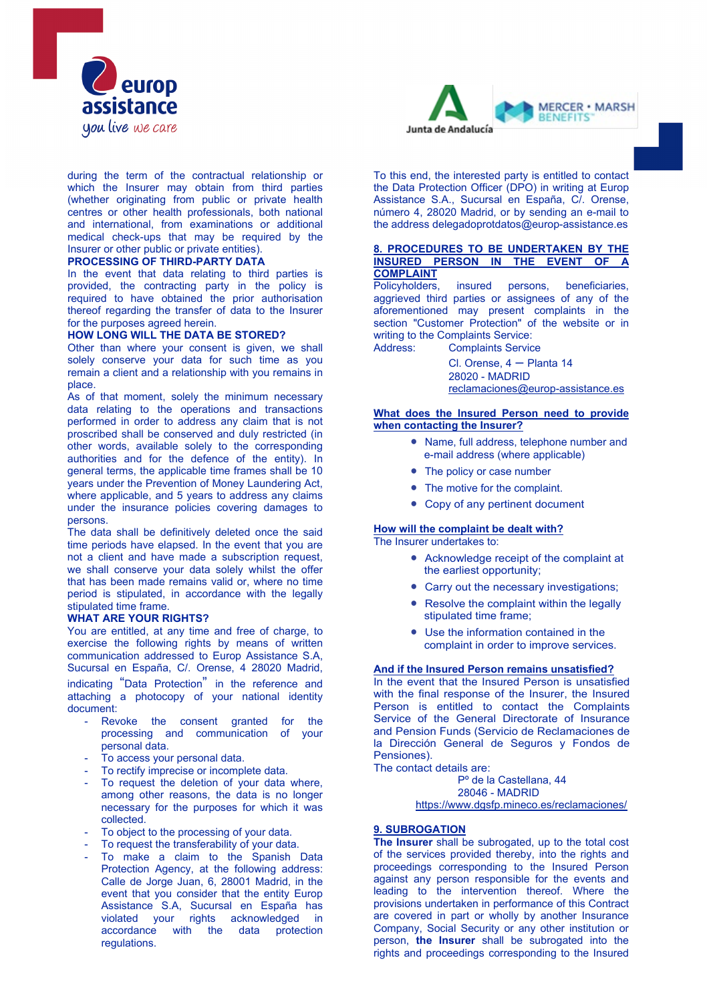

during the term of the contractual relationship or which the Insurer may obtain from third parties (whether originating from public or private health centres or other health professionals, both national and international, from examinations or additional medical check-ups that may be required by the Insurer or other public or private entities).

### **PROCESSING OF THIRD-PARTY DATA**

In the event that data relating to third parties is provided, the contracting party in the policy is required to have obtained the prior authorisation thereof regarding the transfer of data to the Insurer for the purposes agreed herein.

# **HOW LONG WILL THE DATA BE STORED?**

Other than where your consent is given, we shall solely conserve your data for such time as you remain a client and a relationship with you remains in place.

As of that moment, solely the minimum necessary data relating to the operations and transactions performed in order to address any claim that is not proscribed shall be conserved and duly restricted (in other words, available solely to the corresponding authorities and for the defence of the entity). In general terms, the applicable time frames shall be 10 years under the Prevention of Money Laundering Act, where applicable, and 5 years to address any claims under the insurance policies covering damages to persons.

The data shall be definitively deleted once the said time periods have elapsed. In the event that you are not a client and have made a subscription request, we shall conserve your data solely whilst the offer that has been made remains valid or, where no time period is stipulated, in accordance with the legally stipulated time frame.

#### **WHAT ARE YOUR RIGHTS?**

You are entitled, at any time and free of charge, to exercise the following rights by means of written communication addressed to Europ Assistance S.A, Sucursal en España, C/. Orense, 4 28020 Madrid, indicating "Data Protection" in the reference and attaching a photocopy of your national identity document:

- Revoke the consent granted for the processing and communication of your personal data.
- To access your personal data.
- To rectify imprecise or incomplete data.
- To request the deletion of your data where, among other reasons, the data is no longer necessary for the purposes for which it was collected.
- To object to the processing of your data.
- To request the transferability of your data.
- To make a claim to the Spanish Data Protection Agency, at the following address: Calle de Jorge Juan, 6, 28001 Madrid, in the event that you consider that the entity Europ Assistance S.A, Sucursal en España has violate acknowledged in<br>with the data protection accordance with the data protection regulations.



To this end, the interested party is entitled to contact the Data Protection Officer (DPO) in writing at Europ Assistance S.A., Sucursal en España, C/. Orense, número 4, 28020 Madrid, or by sending an e-mail to the address delegadoprotdatos@europ-assistance.es

### **8. PROCEDURES TO BE UNDERTAKEN BY THE INSURED PERSON IN THE EVENT OF A COMPLAINT**

Policyholders, insured persons, beneficiaries, aggrieved third parties or assignees of any of the aforementioned may present complaints in the section "Customer Protection" of the website or in writing to the Complaints Service: Address: Complaints Service

> Cl. Orense,  $4 -$  Planta 14 28020 - MADRID [reclamaciones@europ-assistance.es](mailto:reclamaciones@europ-assistance.es)

### **What does the Insured Person need to provide when contacting the Insurer?**

- Name, full address, telephone number and e-mail address (where applicable)
- The policy or case number
- The motive for the complaint.
- Copy of any pertinent document

# **How will the complaint be dealt with?**

The Insurer undertakes to:

- Acknowledge receipt of the complaint at the earliest opportunity;
- Carry out the necessary investigations;
- Resolve the complaint within the legally stipulated time frame;
- Use the information contained in the complaint in order to improve services.

### **And if the Insured Person remains unsatisfied?**

In the event that the Insured Person is unsatisfied with the final response of the Insurer, the Insured Person is entitled to contact the Complaints Service of the General Directorate of Insurance and Pension Funds (Servicio de Reclamaciones de la Dirección General de Seguros y Fondos de Pensiones).

The contact details are:

Pº de la Castellana, 44 28046 - MADRID <https://www.dgsfp.mineco.es/reclamaciones/>

# **9. SUBROGATION**

**The Insurer** shall be subrogated, up to the total cost of the services provided thereby, into the rights and proceedings corresponding to the Insured Person against any person responsible for the events and leading to the intervention thereof. Where the provisions undertaken in performance of this Contract are covered in part or wholly by another Insurance Company, Social Security or any other institution or person, **the Insurer** shall be subrogated into the rights and proceedings corresponding to the Insured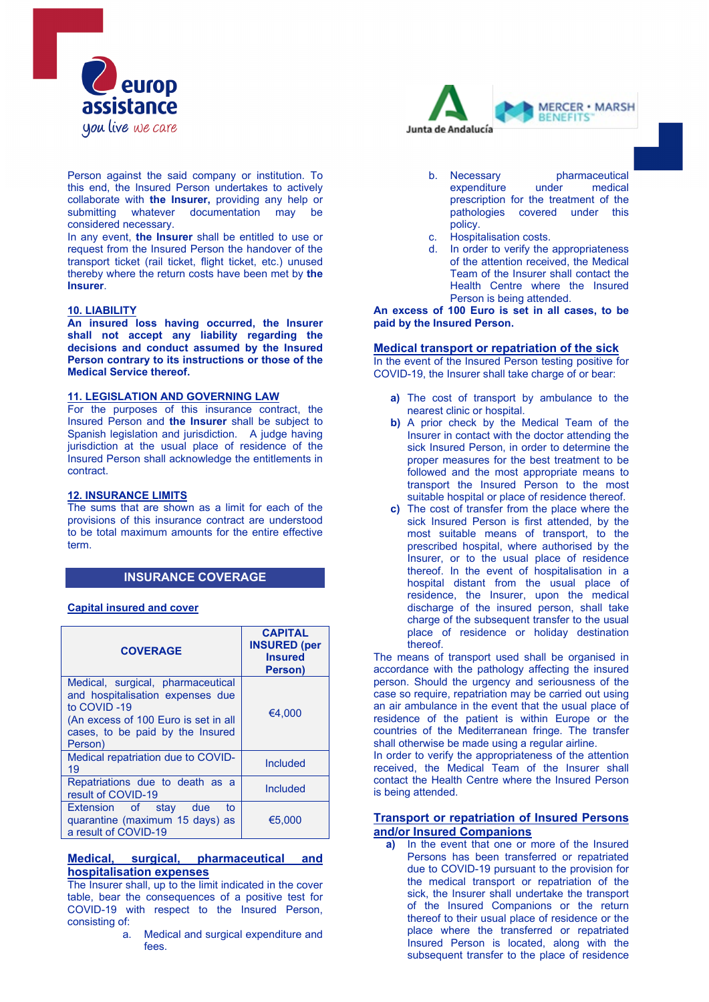

Person against the said company or institution. To this end, the Insured Person undertakes to actively collaborate with **the Insurer,** providing any help or submitting whatever documentation may considered necessary.

In any event, **the Insurer** shall be entitled to use or request from the Insured Person the handover of the transport ticket (rail ticket, flight ticket, etc.) unused thereby where the return costs have been met by **the Insurer**.

### **10. LIABILITY**

**An insured loss having occurred, the Insurer**  shall not accept any liability regarding the **decisions and conduct assumed by the Insured Person contrary to its instructions or those of the Medical Service thereof.**

# **11. LEGISLATION AND GOVERNING LAW**

For the purposes of this insurance contract, the Insured Person and **the Insurer** shall be subject to Spanish legislation and jurisdiction. A judge having jurisdiction at the usual place of residence of the Insured Person shall acknowledge the entitlements in contract.

### **12. INSURANCE LIMITS**

The sums that are shown as a limit for each of the provisions of this insurance contract are understood to be total maximum amounts for the entire effective term.

# **INSURANCE COVERAGE**

### **Capital insured and cover**

| <b>COVERAGE</b>                                                                                                                                                             | <b>CAPITAL</b><br><b>INSURED (per</b><br><b>Insured</b><br>Person) |
|-----------------------------------------------------------------------------------------------------------------------------------------------------------------------------|--------------------------------------------------------------------|
| Medical, surgical, pharmaceutical<br>and hospitalisation expenses due<br>to COVID-19<br>(An excess of 100 Euro is set in all<br>cases, to be paid by the Insured<br>Person) | €4.000                                                             |
| Medical repatriation due to COVID-<br>19                                                                                                                                    | Included                                                           |
| Repatriations due to death as a<br>result of COVID-19                                                                                                                       | <b>Included</b>                                                    |
| Extension of stay<br>due<br>to<br>quarantine (maximum 15 days) as<br>a result of COVID-19                                                                                   | €5.000                                                             |

### **Medical, surgical, pharmaceutical and hospitalisation expenses**

The Insurer shall, up to the limit indicated in the cover table, bear the consequences of a positive test for COVID-19 with respect to the Insured Person, consisting of:

> a. Medical and surgical expenditure and fees.



- b. Necessary **pharmaceutical**<br>expenditure under medical expenditure prescription for the treatment of the pathologies covered under this policy.
- c. Hospitalisation costs.
- d. In order to verify the appropriateness of the attention received, the Medical Team of the Insurer shall contact the Health Centre where the Insured Person is being attended.

**An excess of 100 Euro is set in all cases, to be paid by the Insured Person.**

### **Medical transport or repatriation of the sick**

In the event of the Insured Person testing positive for COVID-19, the Insurer shall take charge of or bear:

- **a)** The cost of transport by ambulance to the nearest clinic or hospital.
- **b)** A prior check by the Medical Team of the Insurer in contact with the doctor attending the sick Insured Person, in order to determine the proper measures for the best treatment to be followed and the most appropriate means to transport the Insured Person to the most suitable hospital or place of residence thereof.
- **c)** The cost of transfer from the place where the sick Insured Person is first attended, by the most suitable means of transport, to the prescribed hospital, where authorised by the Insurer, or to the usual place of residence thereof. In the event of hospitalisation in a hospital distant from the usual place of residence, the Insurer, upon the medical discharge of the insured person, shall take charge of the subsequent transfer to the usual place of residence or holiday destination thereof.

The means of transport used shall be organised in accordance with the pathology affecting the insured person. Should the urgency and seriousness of the case so require, repatriation may be carried out using an air ambulance in the event that the usual place of residence of the patient is within Europe or the countries of the Mediterranean fringe. The transfer shall otherwise be made using a regular airline.

In order to verify the appropriateness of the attention received, the Medical Team of the Insurer shall contact the Health Centre where the Insured Person is being attended.

## **Transport or repatriation of Insured Persons and/or Insured Companions**

**a)** In the event that one or more of the Insured Persons has been transferred or repatriated due to COVID-19 pursuant to the provision for the medical transport or repatriation of the sick, the Insurer shall undertake the transport of the Insured Companions or the return thereof to their usual place of residence or the place where the transferred or repatriated Insured Person is located, along with the subsequent transfer to the place of residence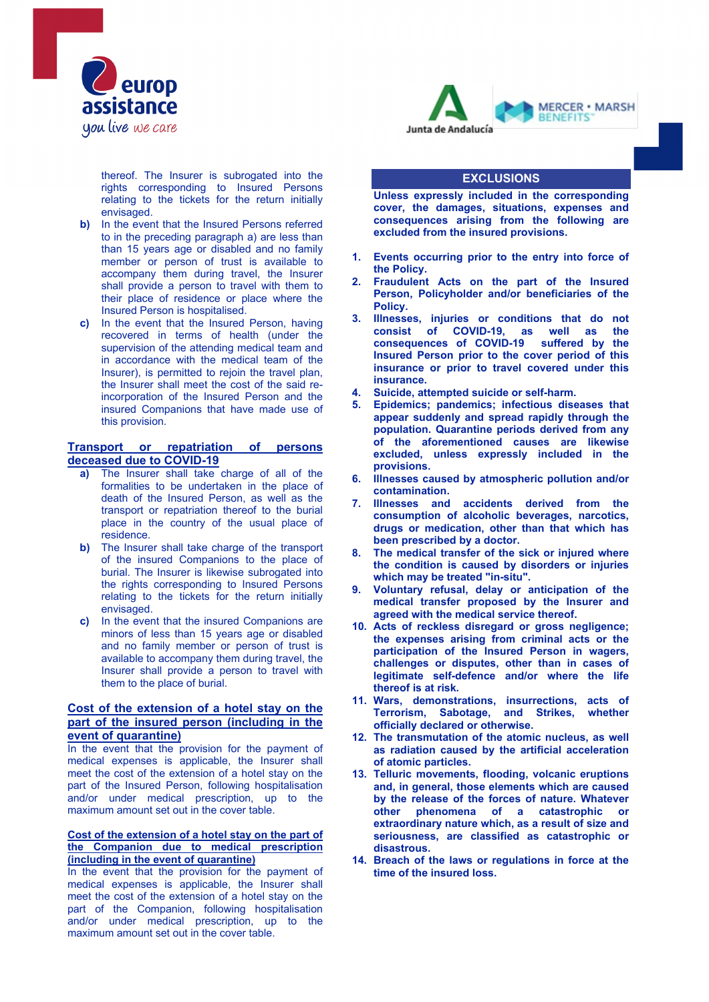

thereof. The Insurer is subrogated into the rights corresponding to Insured Persons relating to the tickets for the return initially envisaged.

- **b)** In the event that the Insured Persons referred to in the preceding paragraph a) are less than than 15 years age or disabled and no family member or person of trust is available to accompany them during travel, the Insurer shall provide a person to travel with them to their place of residence or place where the Insured Person is hospitalised.
- **c)** In the event that the Insured Person, having recovered in terms of health (under the supervision of the attending medical team and in accordance with the medical team of the Insurer), is permitted to rejoin the travel plan, the Insurer shall meet the cost of the said reincorporation of the Insured Person and the insured Companions that have made use of this provision.

### **Transport or repatriation of persons deceased due to COVID-19**

- **a)** The Insurer shall take charge of all of the formalities to be undertaken in the place of death of the Insured Person, as well as the transport or repatriation thereof to the burial place in the country of the usual place of residence.
- **b)** The Insurer shall take charge of the transport of the insured Companions to the place of burial. The Insurer is likewise subrogated into the rights corresponding to Insured Persons relating to the tickets for the return initially envisaged.
- **c)** In the event that the insured Companions are minors of less than 15 years age or disabled and no family member or person of trust is available to accompany them during travel, the Insurer shall provide a person to travel with them to the place of burial.

## **Cost of the extension of a hotel stay on the part of the insured person (including in the event of quarantine)**

In the event that the provision for the payment of medical expenses is applicable, the Insurer shall meet the cost of the extension of a hotel stay on the part of the Insured Person, following hospitalisation and/or under medical prescription, up to the maximum amount set out in the cover table.

### **Cost of the extension of a hotel stay on the part of the Companion due to medical prescription (including in the event of quarantine)**

In the event that the provision for the payment of medical expenses is applicable, the Insurer shall meet the cost of the extension of a hotel stay on the part of the Companion, following hospitalisation and/or under medical prescription, up to the maximum amount set out in the cover table.



### **EXCLUSIONS**

**Unless expressly included in the corresponding cover, the damages, situations, expenses and consequences arising from the following are excluded from the insured provisions.**

- **1. Events occurring prior to the entry into force of the Policy.**
- **2. Fraudulent Acts on the part of the Insured Person, Policyholder and/or beneficiaries of the Policy.**
- **3. Illnesses, injuries or conditions that do not consist of COVID-19, as well as the consequences of COVID-19 suffered by the Insured Person prior to the cover period of this insurance or prior to travel covered under this insurance.**
- **4. Suicide, attempted suicide or self-harm.**
- **5. Epidemics; pandemics; infectious diseases that appear suddenly and spread rapidly through the population. Quarantine periods derived from any of the aforementioned causes are likewise excluded, unless expressly included in the provisions.**
- **6. Illnesses caused by atmospheric pollution and/or contamination.**
- **7. Illnesses and accidents derived from the consumption of alcoholic beverages, narcotics, drugs or medication, other than that which has been prescribed by a doctor.**
- **8. The medical transfer of the sick or injured where the condition is caused by disorders or injuries which may be treated "in-situ".**
- **9. Voluntary refusal, delay or anticipation of the medical transfer proposed by the Insurer and agreed with the medical service thereof.**
- **10. Acts of reckless disregard or gross negligence; the expenses arising from criminal acts or the participation of the Insured Person in wagers, challenges or disputes, other than in cases of legitimate self-defence and/or where the life thereof is at risk.**
- **11. Wars, demonstrations, insurrections, acts of Terrorism, Sabotage, and Strikes, whether officially declared or otherwise.**
- **12. The transmutation of the atomic nucleus, as well as radiation caused by the artificial acceleration of atomic particles.**
- **13. Telluric movements, flooding, volcanic eruptions and, in general, those elements which are caused by the release of the forces of nature. Whatever other phenomena of a catastrophic or extraordinary nature which, as a result of size and seriousness, are classified as catastrophic or disastrous.**
- **14. Breach of the laws or regulations in force at the time of the insured loss.**